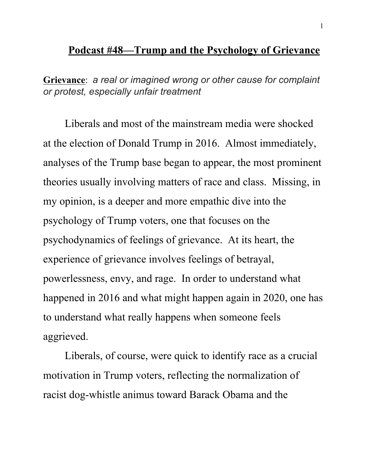## **Podcast #48—Trump and the Psychology of Grievance**

**Grievance**: *a real or imagined wrong or other cause for complaint or protest, especially unfair treatment*

Liberals and most of the mainstream media were shocked at the election of Donald Trump in 2016. Almost immediately, analyses of the Trump base began to appear, the most prominent theories usually involving matters of race and class. Missing, in my opinion, is a deeper and more empathic dive into the psychology of Trump voters, one that focuses on the psychodynamics of feelings of grievance. At its heart, the experience of grievance involves feelings of betrayal, powerlessness, envy, and rage. In order to understand what happened in 2016 and what might happen again in 2020, one has to understand what really happens when someone feels aggrieved.

Liberals, of course, were quick to identify race as a crucial motivation in Trump voters, reflecting the normalization of racist dog-whistle animus toward Barack Obama and the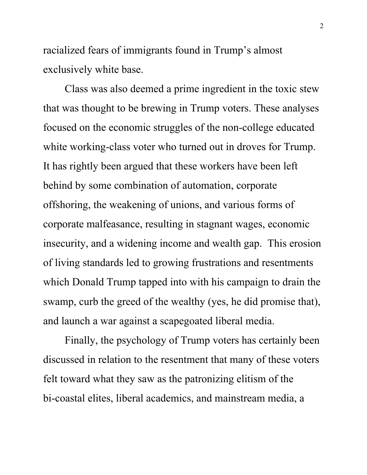racialized fears of immigrants found in Trump's almost exclusively white base.

Class was also deemed a prime ingredient in the toxic stew that was thought to be brewing in Trump voters. These analyses focused on the economic struggles of the non-college educated white working-class voter who turned out in droves for Trump. It has rightly been argued that these workers have been left behind by some combination of automation, corporate offshoring, the weakening of unions, and various forms of corporate malfeasance, resulting in stagnant wages, economic insecurity, and a widening income and wealth gap. This erosion of living standards led to growing frustrations and resentments which Donald Trump tapped into with his campaign to drain the swamp, curb the greed of the wealthy (yes, he did promise that), and launch a war against a scapegoated liberal media.

Finally, the psychology of Trump voters has certainly been discussed in relation to the resentment that many of these voters felt toward what they saw as the patronizing elitism of the bi-coastal elites, liberal academics, and mainstream media, a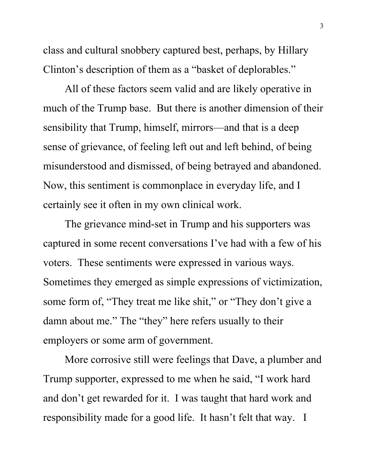class and cultural snobbery captured best, perhaps, by Hillary Clinton's description of them as a "basket of deplorables."

All of these factors seem valid and are likely operative in much of the Trump base. But there is another dimension of their sensibility that Trump, himself, mirrors—and that is a deep sense of grievance, of feeling left out and left behind, of being misunderstood and dismissed, of being betrayed and abandoned. Now, this sentiment is commonplace in everyday life, and I certainly see it often in my own clinical work.

The grievance mind-set in Trump and his supporters was captured in some recent conversations I've had with a few of his voters. These sentiments were expressed in various ways. Sometimes they emerged as simple expressions of victimization, some form of, "They treat me like shit," or "They don't give a damn about me." The "they" here refers usually to their employers or some arm of government.

More corrosive still were feelings that Dave, a plumber and Trump supporter, expressed to me when he said, "I work hard and don't get rewarded for it. I was taught that hard work and responsibility made for a good life. It hasn't felt that way. I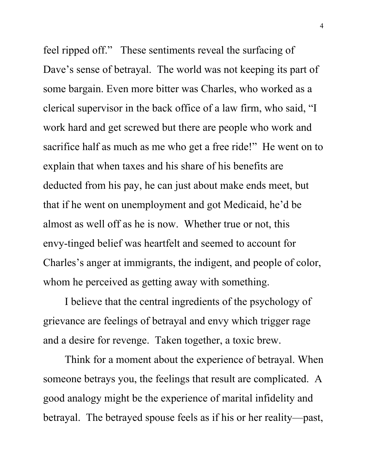feel ripped off." These sentiments reveal the surfacing of Dave's sense of betrayal. The world was not keeping its part of some bargain. Even more bitter was Charles, who worked as a clerical supervisor in the back office of a law firm, who said, "I work hard and get screwed but there are people who work and sacrifice half as much as me who get a free ride!" He went on to explain that when taxes and his share of his benefits are deducted from his pay, he can just about make ends meet, but that if he went on unemployment and got Medicaid, he'd be almost as well off as he is now. Whether true or not, this envy-tinged belief was heartfelt and seemed to account for Charles's anger at immigrants, the indigent, and people of color, whom he perceived as getting away with something.

I believe that the central ingredients of the psychology of grievance are feelings of betrayal and envy which trigger rage and a desire for revenge. Taken together, a toxic brew.

Think for a moment about the experience of betrayal. When someone betrays you, the feelings that result are complicated. A good analogy might be the experience of marital infidelity and betrayal. The betrayed spouse feels as if his or her reality—past,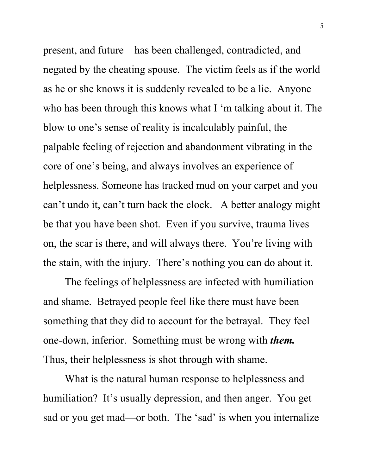present, and future—has been challenged, contradicted, and negated by the cheating spouse. The victim feels as if the world as he or she knows it is suddenly revealed to be a lie. Anyone who has been through this knows what I 'm talking about it. The blow to one's sense of reality is incalculably painful, the palpable feeling of rejection and abandonment vibrating in the core of one's being, and always involves an experience of helplessness. Someone has tracked mud on your carpet and you can't undo it, can't turn back the clock. A better analogy might be that you have been shot. Even if you survive, trauma lives on, the scar is there, and will always there. You're living with the stain, with the injury. There's nothing you can do about it.

The feelings of helplessness are infected with humiliation and shame. Betrayed people feel like there must have been something that they did to account for the betrayal. They feel one-down, inferior. Something must be wrong with *them.* Thus, their helplessness is shot through with shame.

What is the natural human response to helplessness and humiliation? It's usually depression, and then anger. You get sad or you get mad—or both. The 'sad' is when you internalize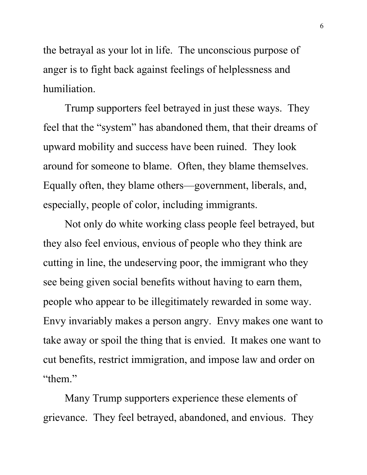the betrayal as your lot in life. The unconscious purpose of anger is to fight back against feelings of helplessness and humiliation.

Trump supporters feel betrayed in just these ways. They feel that the "system" has abandoned them, that their dreams of upward mobility and success have been ruined. They look around for someone to blame. Often, they blame themselves. Equally often, they blame others—government, liberals, and, especially, people of color, including immigrants.

Not only do white working class people feel betrayed, but they also feel envious, envious of people who they think are cutting in line, the undeserving poor, the immigrant who they see being given social benefits without having to earn them, people who appear to be illegitimately rewarded in some way. Envy invariably makes a person angry. Envy makes one want to take away or spoil the thing that is envied. It makes one want to cut benefits, restrict immigration, and impose law and order on "them."

Many Trump supporters experience these elements of grievance. They feel betrayed, abandoned, and envious. They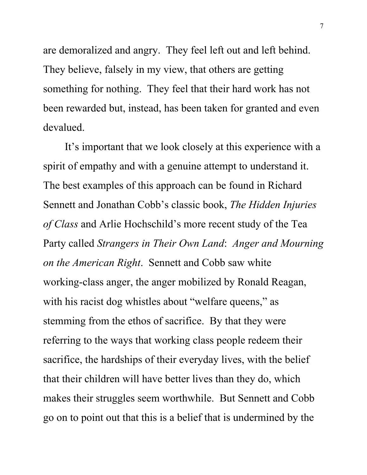are demoralized and angry. They feel left out and left behind. They believe, falsely in my view, that others are getting something for nothing. They feel that their hard work has not been rewarded but, instead, has been taken for granted and even devalued.

It's important that we look closely at this experience with a spirit of empathy and with a genuine attempt to understand it. The best examples of this approach can be found in Richard Sennett and Jonathan Cobb's classic book, *The Hidden Injuries of Class* and Arlie Hochschild's more recent study of the Tea Party called *Strangers in Their Own Land*: *Anger and Mourning on the American Right*. Sennett and Cobb saw white working-class anger, the anger mobilized by Ronald Reagan, with his racist dog whistles about "welfare queens," as stemming from the ethos of sacrifice. By that they were referring to the ways that working class people redeem their sacrifice, the hardships of their everyday lives, with the belief that their children will have better lives than they do, which makes their struggles seem worthwhile. But Sennett and Cobb go on to point out that this is a belief that is undermined by the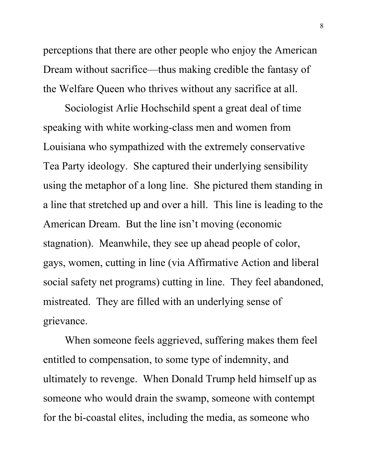perceptions that there are other people who enjoy the American Dream without sacrifice—thus making credible the fantasy of the Welfare Queen who thrives without any sacrifice at all.

Sociologist Arlie Hochschild spent a great deal of time speaking with white working-class men and women from Louisiana who sympathized with the extremely conservative Tea Party ideology. She captured their underlying sensibility using the metaphor of a long line. She pictured them standing in a line that stretched up and over a hill. This line is leading to the American Dream. But the line isn't moving (economic stagnation). Meanwhile, they see up ahead people of color, gays, women, cutting in line (via Affirmative Action and liberal social safety net programs) cutting in line. They feel abandoned, mistreated. They are filled with an underlying sense of grievance.

When someone feels aggrieved, suffering makes them feel entitled to compensation, to some type of indemnity, and ultimately to revenge. When Donald Trump held himself up as someone who would drain the swamp, someone with contempt for the bi-coastal elites, including the media, as someone who